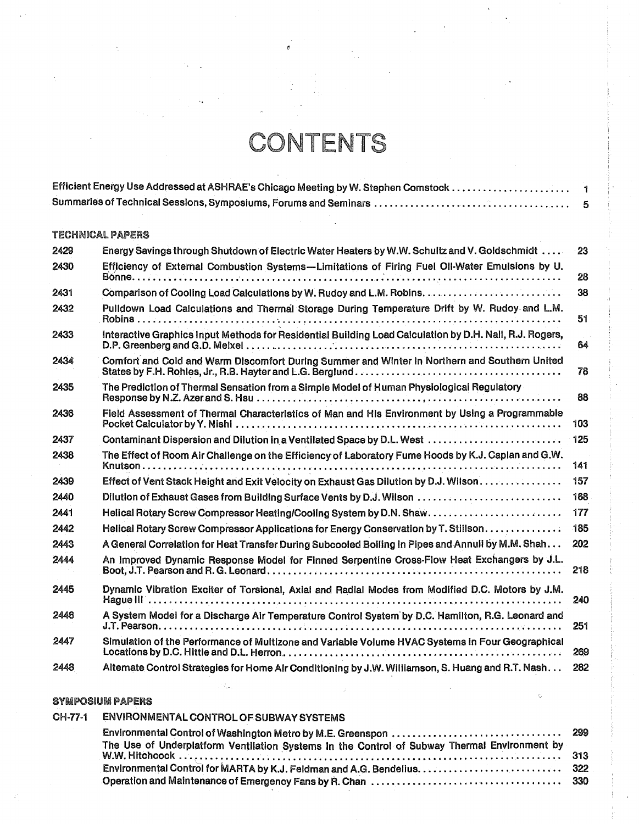## CONTENTS

## TECHNICAL PAPERS

| 2429 | Energy Savings through Shutdown of Electric Water Heaters by W.W. Schultz and V. Goldschmidt                                                                                                                                                       | $-23$ |
|------|----------------------------------------------------------------------------------------------------------------------------------------------------------------------------------------------------------------------------------------------------|-------|
| 2430 | Efficiency of External Combustion Systems-Limitations of Firing Fuel Oil-Water Emulsions by U.                                                                                                                                                     | 28    |
| 2431 |                                                                                                                                                                                                                                                    | 38    |
| 2432 | Pulldown Load Calculations and Thermal Storage During Temperature Drift by W. Rudoy and L.M.                                                                                                                                                       | 51    |
| 2433 | Interactive Graphics Input Methods for Residential Building Load Calculation by D.H. Nall, R.J. Rogers,                                                                                                                                            | 64    |
| 2434 | Comfort and Cold and Warm Discomfort During Summer and Winter in Northern and Southern United<br>States by F.H. Rohles, Jr., R.B. Hayter and L.G. Berglund . $\ldots$ . $\ldots$ . $\ldots$ . $\ldots$ . $\ldots$ . $\ldots$ . $\ldots$ . $\ldots$ | 78    |
| 2435 | The Prediction of Thermal Sensation from a Simple Model of Human Physiological Regulatory                                                                                                                                                          | 88    |
| 2436 | Field Assessment of Thermal Characteristics of Man and His Environment by Using a Programmable                                                                                                                                                     | 103   |
| 2437 | Contaminant Dispersion and Dilution in a Ventilated Space by D.L. West                                                                                                                                                                             | 125   |
| 2438 | The Effect of Room Air Challenge on the Efficiency of Laboratory Fume Hoods by K.J. Caplan and G.W.                                                                                                                                                | 141   |
| 2439 | Effect of Vent Stack Height and Exit Velocity on Exhaust Gas Dilution by D.J. Wilson                                                                                                                                                               | 157   |
| 2440 | Dilution of Exhaust Gases from Building Surface Vents by D.J. Wilson                                                                                                                                                                               | 168   |
| 2441 | Helical Rotary Screw Compressor Heating/Cooling System by D.N. Shaw.                                                                                                                                                                               | 177   |
| 2442 | Helical Rotary Screw Compressor Applications for Energy Conservation by T. Stillson.                                                                                                                                                               | 185   |
| 2443 | A General Correlation for Heat Transfer During Subcooled Boiling in Pipes and Annuli by M.M. Shah                                                                                                                                                  | 202   |
| 2444 | An Improved Dynamic Response Model for Finned Serpentine Cross-Flow Heat Exchangers by J.L.                                                                                                                                                        | 218   |
| 2445 | Dynamic Vibration Exciter of Torsional, Axial and Radial Modes from Modified D.C. Motors by J.M.                                                                                                                                                   | 240   |
| 2446 | A System Model for a Discharge Air Temperature Control System by D.C. Hamilton, R.G. Leonard and                                                                                                                                                   | 251   |
| 2447 | Simulation of the Performance of Multizone and Variable Volume HVAC Systems in Four Geographical                                                                                                                                                   | 269   |
| 2448 | Alternate Control Strategies for Home Air Conditioning by J.W. Williamson, S. Huang and R.T. Nash                                                                                                                                                  | 282   |

## SYMPOSIUM PAPERS

| CH-77-1 | ENVIRONMENTAL CONTROL OF SUBWAY SYSTEMS                                                      |  |
|---------|----------------------------------------------------------------------------------------------|--|
|         |                                                                                              |  |
|         | The Use of Underplatform Ventilation Systems in the Control of Subway Thermal Environment by |  |
|         |                                                                                              |  |
|         |                                                                                              |  |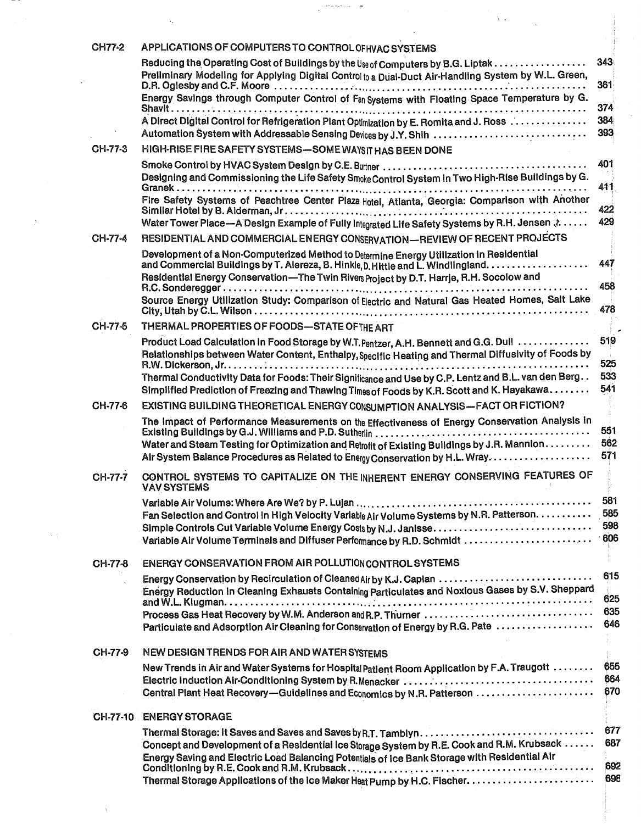|               | constantiamente and the                                                                                                                                                                                                                                                       |                   |
|---------------|-------------------------------------------------------------------------------------------------------------------------------------------------------------------------------------------------------------------------------------------------------------------------------|-------------------|
|               |                                                                                                                                                                                                                                                                               |                   |
| <b>CH77-2</b> | APPLICATIONS OF COMPUTERS TO CONTROL OF HVAC SYSTEMS                                                                                                                                                                                                                          |                   |
|               | Reducing the Operating Cost of Buildings by the Use of Computers by B.G. Liptak<br>Preliminary Modeling for Applying Digital Control to a Dual-Duct Air-Handling System by W.L. Green,                                                                                        | 343               |
|               | Energy Savings through Computer Control of Fan Systems with Floating Space Temperature by G.                                                                                                                                                                                  | 361<br>374        |
|               | A Direct Digital Control for Refrigeration Plant Optimization by E. Romita and J. Ross                                                                                                                                                                                        | 384<br>393        |
| CH-77-3       | HIGH-RISE FIRE SAFETY SYSTEMS-SOME WAYSIT HAS BEEN DONE                                                                                                                                                                                                                       |                   |
|               | Designing and Commissioning the Life Safety Smoke Control System in Two High-Rise Buildings by G.                                                                                                                                                                             | 401<br>411        |
|               | Fire Safety Systems of Peachtree Center Plaza Hotel, Atlanta, Georgia: Comparison with Another                                                                                                                                                                                | 422               |
|               | Water Tower Place-A Design Example of Fully Integrated Life Safety Systems by R.H. Jensen 3.                                                                                                                                                                                  | 429               |
| CH-77-4       | RESIDENTIAL AND COMMERCIAL ENERGY CONSERVATION—REVIEW OF RECENT PROJECTS                                                                                                                                                                                                      |                   |
|               | Development of a Non-Computerized Method to Determine Energy Utilization in Residential                                                                                                                                                                                       |                   |
|               | Residential Energy Conservation-The Twin Rivers Project by D.T. Harrje, R.H. Socolow and                                                                                                                                                                                      | 447<br>458        |
|               | Source Energy Utilization Study: Comparison of Electric and Natural Gas Heated Homes, Salt Lake                                                                                                                                                                               | 478               |
| CH-77-5       | THERMAL PROPERTIES OF FOODS-STATE OF THE ART                                                                                                                                                                                                                                  |                   |
|               | Product Load Calculation in Food Storage by W.T. Pentzer, A.H. Bennett and G.G. Dull<br>Relationships between Water Content, Enthalpy, Specific Heating and Thermal Diffusivity of Foods by                                                                                   | 519               |
|               |                                                                                                                                                                                                                                                                               | 525<br>533        |
|               | Thermal Conductivity Data for Foods: Their Significance and Use by C.P. Lentz and B.L. van den Berg<br>Simplified Prediction of Freezing and Thawing Times of Foods by K.R. Scott and K. Hayakawa                                                                             | 541               |
| CH-77-6       | EXISTING BUILDING THEORETICAL ENERGY CONSUMPTION ANALYSIS-FACT OR FICTION?                                                                                                                                                                                                    |                   |
|               | The Impact of Performance Measurements on the Effectiveness of Energy Conservation Analysis in<br>Water and Steam Testing for Optimization and Retrofit of Existing Buildings by J.R. Mannion<br>Air System Balance Procedures as Related to Energy Conservation by H.L. Wray | 551<br>562<br>571 |
| CH-77-7       | CONTROL SYSTEMS TO CAPITALIZE ON THE INHERENT ENERGY CONSERVING FEATURES OF                                                                                                                                                                                                   |                   |
|               | <b>VAV SYSTEMS</b>                                                                                                                                                                                                                                                            | 581               |
|               | Fan Selection and Control in High Velocity Variable Air Volume Systems by N.R. Patterson.                                                                                                                                                                                     | 585<br>598        |
|               |                                                                                                                                                                                                                                                                               |                   |
| CH-77-8       | ENERGY CONSERVATION FROM AIR POLLUTION CONTROL SYSTEMS                                                                                                                                                                                                                        |                   |
|               | Energy Conservation by Recirculation of Cleaned Air by K.J. Caplan<br>Energy Reduction in Cleaning Exhausts Containing Particulates and Noxious Gases by S.V. Sheppard                                                                                                        | 615<br>625        |
|               | Particulate and Adsorption Air Cleaning for Conservation of Energy by R.G. Pate                                                                                                                                                                                               | 635<br>646        |
| CH-77-9       | NEW DESIGN TRENDS FOR AIR AND WATER SYSTEMS                                                                                                                                                                                                                                   |                   |
|               | New Trends in Air and Water Systems for Hospital Patient Room Application by F.A. Traugott                                                                                                                                                                                    | 655               |
|               | Central Plant Heat Recovery-Guidelines and Economics by N.R. Patterson                                                                                                                                                                                                        | 664<br>670        |
|               | CH-77-10 ENERGY STORAGE                                                                                                                                                                                                                                                       |                   |
|               |                                                                                                                                                                                                                                                                               | 677               |
|               | Concept and Development of a Residential Ice Storage System by R.E. Cook and R.M. Krubsack<br>Energy Saving and Electric Load Balancing Potentials of Ice Bank Storage with Residential Air                                                                                   | 687               |
|               |                                                                                                                                                                                                                                                                               | 692<br>698        |

in Tim

 $\langle \hat{X}^{\dagger} \rangle$